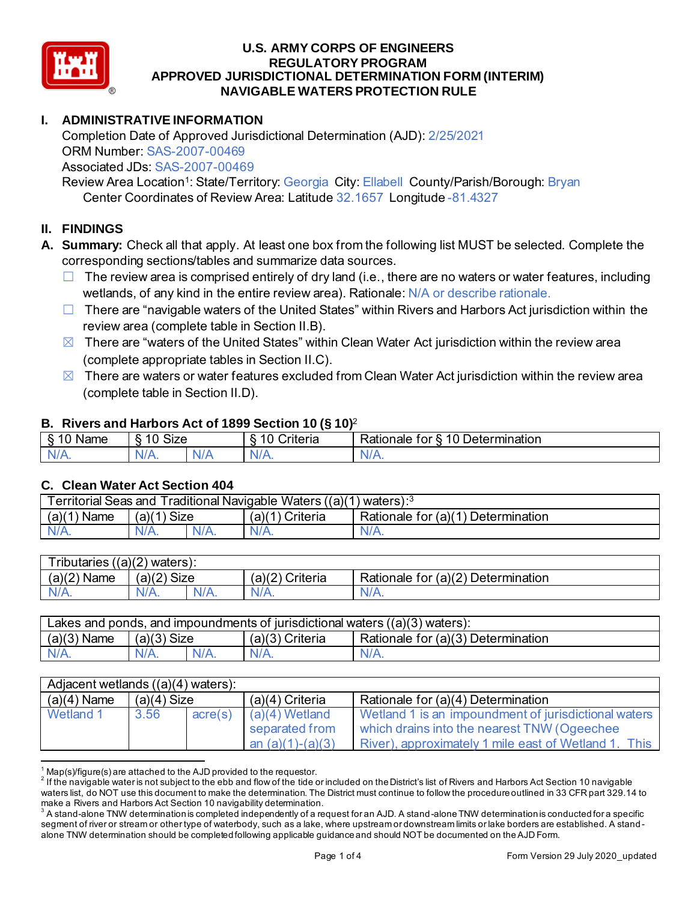

# **I. ADMINISTRATIVE INFORMATION**

Completion Date of Approved Jurisdictional Determination (AJD): 2/25/2021 ORM Number: SAS-2007-00469 Associated JDs: SAS-2007-00469

Review Area Location<sup>1</sup>: State/Territory: Georgia City: Ellabell County/Parish/Borough: Bryan Center Coordinates of Review Area: Latitude 32.1657 Longitude -81.4327

## **II. FINDINGS**

- **A. Summary:** Check all that apply. At least one box from the following list MUST be selected. Complete the corresponding sections/tables and summarize data sources.
	- $\Box$  The review area is comprised entirely of dry land (i.e., there are no waters or water features, including wetlands, of any kind in the entire review area). Rationale: N/A or describe rationale.
	- $\Box$  There are "navigable waters of the United States" within Rivers and Harbors Act jurisdiction within the review area (complete table in Section II.B).
	- $\boxtimes$  There are "waters of the United States" within Clean Water Act jurisdiction within the review area (complete appropriate tables in Section II.C).
	- $\boxtimes$  There are waters or water features excluded from Clean Water Act jurisdiction within the review area (complete table in Section II.D).

### **B. Rivers and Harbors Act of 1899 Section 10 (§ 10)**<sup>2</sup>

| $\cdot$                                        |                                                |     |                                |                                                                           |  |  |  |
|------------------------------------------------|------------------------------------------------|-----|--------------------------------|---------------------------------------------------------------------------|--|--|--|
| $^{\circ}$ $^{\prime}$<br>Name<br>◠<br>$\cdot$ | $\mathbf{r}$<br>$\sim$<br>$\mathbf{H}$<br>א∠וכ |     | $\sqrt{2}$<br>`riteria<br>ົ L. | -<br>–<br>⊃eterr<br>ermination <sup>®</sup><br>Rationale<br>ror<br>-<br>∼ |  |  |  |
| -ND.                                           | $\mathcal{N}$<br>N/A.                          | N/t | АНИ<br>11 L V                  | M<br>$\mathbf{v}$                                                         |  |  |  |

### **C. Clean Water Act Section 404**

| Territorial Seas and Traditional Navigable Waters ((a)(1) waters): <sup>3</sup> |               |      |                 |                                    |  |  |
|---------------------------------------------------------------------------------|---------------|------|-----------------|------------------------------------|--|--|
| (a)(1)<br>Name                                                                  | $(a)(1)$ Size |      | (a)(1) Criteria | Rationale for (a)(1) Determination |  |  |
| $N/A$ .                                                                         | $N/A$ .       | N/A. | $N/A$ .         | $N/A$ .                            |  |  |

| <b>Tributaries</b><br>$((a)(2)$ waters): |               |         |                    |                                    |  |  |  |
|------------------------------------------|---------------|---------|--------------------|------------------------------------|--|--|--|
| (a)(2)<br>Name                           | $(a)(2)$ Size |         | (2) ra<br>Criteria | Rationale for (a)(2) Determination |  |  |  |
| N/L                                      | $N/A$ .       | $N/A$ . | $N/A$ .            | $N/A$ .                            |  |  |  |

| Lakes and ponds, and impoundments of jurisdictional waters $((a)(3)$ waters): |               |  |                 |                                    |  |  |
|-------------------------------------------------------------------------------|---------------|--|-----------------|------------------------------------|--|--|
| $(a)(3)$ Name                                                                 | $(a)(3)$ Size |  | (a)(3) Criteria | Rationale for (a)(3) Determination |  |  |
|                                                                               | N/A.          |  | N/A.            | $N/A$ .                            |  |  |

| Adjacent wetlands $((a)(4)$ waters): |               |         |                                                          |                                                                                                                                                             |  |  |
|--------------------------------------|---------------|---------|----------------------------------------------------------|-------------------------------------------------------------------------------------------------------------------------------------------------------------|--|--|
| $(a)(4)$ Name                        | $(a)(4)$ Size |         | $(a)(4)$ Criteria                                        | Rationale for (a)(4) Determination                                                                                                                          |  |  |
| Wetland 1                            | 3.56          | acre(s) | $(a)(4)$ Wetland<br>separated from<br>an $(a)(1)-(a)(3)$ | Wetland 1 is an impoundment of jurisdictional waters<br>which drains into the nearest TNW (Ogeechee<br>River), approximately 1 mile east of Wetland 1. This |  |  |

 $^1$  Map(s)/figure(s) are attached to the AJD provided to the requestor.<br><sup>2</sup> If the navigable water is not subject to the ebb and flow of the tide or included on the District's list of Rivers and Harbors Act Section 10 na waters list, do NOT use this document to make the determination. The District must continue to follow the procedure outlined in 33 CFR part 329.14 to make a Rivers and Harbors Act Section 10 navigability determination.

 $^{\rm 3}$  A stand-alone TNW determination is completed independently of a request for an AJD. A stand-alone TNW determination is conducted for a specific segment of river or stream or other type of waterbody, such as a lake, where upstream or downstream limits or lake borders are established. A standalone TNW determination should be completed following applicable guidance and should NOT be documented on theAJD Form.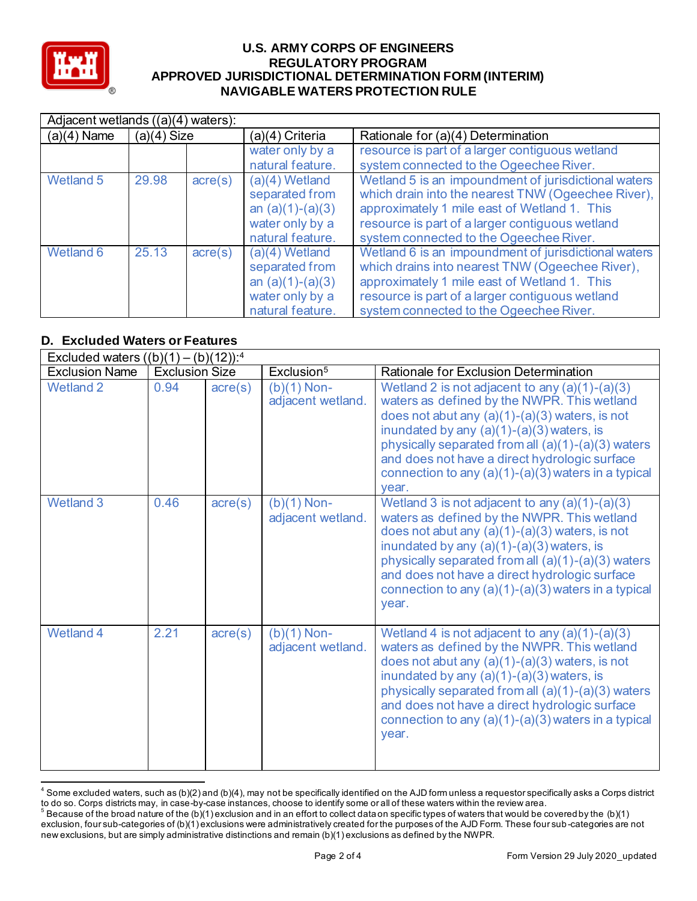

| $\overline{Adi}$ acent wetlands ((a)(4) waters): |               |                  |                                                                                                 |                                                                                                                                                                                                                                                          |  |  |
|--------------------------------------------------|---------------|------------------|-------------------------------------------------------------------------------------------------|----------------------------------------------------------------------------------------------------------------------------------------------------------------------------------------------------------------------------------------------------------|--|--|
| $(a)(4)$ Name                                    | $(a)(4)$ Size |                  | (a)(4) Criteria                                                                                 | Rationale for (a)(4) Determination                                                                                                                                                                                                                       |  |  |
|                                                  |               |                  | water only by a                                                                                 | resource is part of a larger contiguous wetland                                                                                                                                                                                                          |  |  |
|                                                  |               |                  | natural feature.                                                                                | system connected to the Ogeechee River.                                                                                                                                                                                                                  |  |  |
| Wetland 5                                        | 29.98         | $\text{acre}(s)$ | $(a)(4)$ Wetland<br>separated from<br>an $(a)(1)-(a)(3)$<br>water only by a<br>natural feature. | Wetland 5 is an impoundment of jurisdictional waters<br>which drain into the nearest TNW (Ogeechee River),<br>approximately 1 mile east of Wetland 1. This<br>resource is part of a larger contiguous wetland<br>system connected to the Ogeechee River. |  |  |
| Wetland 6                                        | 25.13         | $\text{acre}(s)$ | $(a)(4)$ Wetland<br>separated from<br>an $(a)(1)-(a)(3)$<br>water only by a<br>natural feature. | Wetland 6 is an impoundment of jurisdictional waters<br>which drains into nearest TNW (Ogeechee River),<br>approximately 1 mile east of Wetland 1. This<br>resource is part of a larger contiguous wetland<br>system connected to the Ogeechee River.    |  |  |

## **D. Excluded Waters or Features**

|                       | Excluded waters $((b)(1) - (b)(12))$ : <sup>4</sup> |                  |                                    |                                                                                                                                                                                                                                                                                                                                                                               |  |  |  |  |
|-----------------------|-----------------------------------------------------|------------------|------------------------------------|-------------------------------------------------------------------------------------------------------------------------------------------------------------------------------------------------------------------------------------------------------------------------------------------------------------------------------------------------------------------------------|--|--|--|--|
| <b>Exclusion Name</b> | <b>Exclusion Size</b>                               |                  | Exclusion <sup>5</sup>             | Rationale for Exclusion Determination                                                                                                                                                                                                                                                                                                                                         |  |  |  |  |
| <b>Wetland 2</b>      | 0.94                                                | $\text{acre}(s)$ | $(b)(1)$ Non-<br>adjacent wetland. | Wetland 2 is not adjacent to any $(a)(1)-(a)(3)$<br>waters as defined by the NWPR. This wetland<br>does not abut any $(a)(1)-(a)(3)$ waters, is not<br>inundated by any $(a)(1)-(a)(3)$ waters, is<br>physically separated from all (a)(1)-(a)(3) waters<br>and does not have a direct hydrologic surface<br>connection to any $(a)(1)-(a)(3)$ waters in a typical<br>vear.   |  |  |  |  |
| Wetland 3             | 0.46                                                | $\text{acre}(s)$ | $(b)(1)$ Non-<br>adjacent wetland. | Wetland 3 is not adjacent to any $(a)(1)-(a)(3)$<br>waters as defined by the NWPR. This wetland<br>does not abut any $(a)(1)-(a)(3)$ waters, is not<br>inundated by any $(a)(1)-(a)(3)$ waters, is<br>physically separated from all $(a)(1)-(a)(3)$ waters<br>and does not have a direct hydrologic surface<br>connection to any $(a)(1)-(a)(3)$ waters in a typical<br>year. |  |  |  |  |
| <b>Wetland 4</b>      | 2.21                                                | $\text{acre}(s)$ | $(b)(1)$ Non-<br>adjacent wetland. | Wetland 4 is not adjacent to any $(a)(1)-(a)(3)$<br>waters as defined by the NWPR. This wetland<br>does not abut any $(a)(1)-(a)(3)$ waters, is not<br>inundated by any $(a)(1)-(a)(3)$ waters, is<br>physically separated from all (a)(1)-(a)(3) waters<br>and does not have a direct hydrologic surface<br>connection to any (a)(1)-(a)(3) waters in a typical<br>year.     |  |  |  |  |

 $^4$  Some excluded waters, such as (b)(2) and (b)(4), may not be specifically identified on the AJD form unless a requestor specifically asks a Corps district to do so. Corps districts may, in case-by-case instances, choose to identify some or all of these waters within the review area.

 $^5$  Because of the broad nature of the (b)(1) exclusion and in an effort to collect data on specific types of waters that would be covered by the (b)(1) exclusion, four sub-categories of (b)(1) exclusions were administratively created for the purposes of the AJD Form. These four sub-categories are not new exclusions, but are simply administrative distinctions and remain (b)(1) exclusions as defined by the NWPR.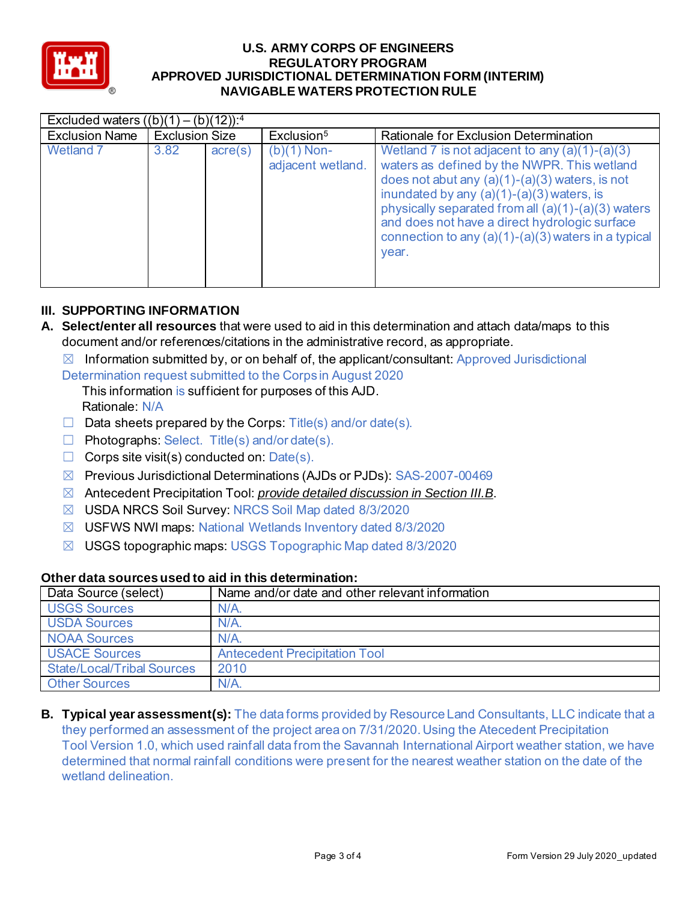

| Excluded waters $((b)(1) - (b)(12))$ : <sup>4</sup> |                       |                  |                                    |                                                                                                                                                                                                                                                                                                                                                                             |  |
|-----------------------------------------------------|-----------------------|------------------|------------------------------------|-----------------------------------------------------------------------------------------------------------------------------------------------------------------------------------------------------------------------------------------------------------------------------------------------------------------------------------------------------------------------------|--|
| <b>Exclusion Name</b>                               | <b>Exclusion Size</b> |                  | Exclusion <sup>5</sup>             | <b>Rationale for Exclusion Determination</b>                                                                                                                                                                                                                                                                                                                                |  |
| <b>Wetland 7</b>                                    | 3.82                  | $\text{acre}(s)$ | $(b)(1)$ Non-<br>adjacent wetland. | Wetland 7 is not adjacent to any $(a)(1)-(a)(3)$<br>waters as defined by the NWPR. This wetland<br>does not abut any $(a)(1)-(a)(3)$ waters, is not<br>inundated by any $(a)(1)-(a)(3)$ waters, is<br>physically separated from all (a)(1)-(a)(3) waters<br>and does not have a direct hydrologic surface<br>connection to any $(a)(1)-(a)(3)$ waters in a typical<br>year. |  |

### **III. SUPPORTING INFORMATION**

- **A. Select/enter all resources** that were used to aid in this determination and attach data/maps to this document and/or references/citations in the administrative record, as appropriate.
	- $\boxtimes$  Information submitted by, or on behalf of, the applicant/consultant: Approved Jurisdictional
	- Determination request submitted to the Corps in August 2020
		- This information is sufficient for purposes of this AJD. Rationale: N/A
	- $\Box$  Data sheets prepared by the Corps: Title(s) and/or date(s).
	- ☐ Photographs: Select. Title(s) and/or date(s).
	- $\Box$  Corps site visit(s) conducted on: Date(s).
	- ☒ Previous Jurisdictional Determinations (AJDs or PJDs): SAS-2007-00469
	- ☒ Antecedent Precipitation Tool: *provide detailed discussion in Section III.B*.
	- ☒ USDA NRCS Soil Survey: NRCS Soil Map dated 8/3/2020
	- ☒ USFWS NWI maps: National Wetlands Inventory dated 8/3/2020
	- ☒ USGS topographic maps: USGS Topographic Map dated 8/3/2020

### **Other data sources used to aid in this determination:**

| Data Source (select)              | Name and/or date and other relevant information |
|-----------------------------------|-------------------------------------------------|
| <b>USGS Sources</b>               | $N/A$ .                                         |
| <b>USDA Sources</b>               | $N/A$ .                                         |
| NOAA Sources                      | N/A                                             |
| <b>USACE Sources</b>              | <b>Antecedent Precipitation Tool</b>            |
| <b>State/Local/Tribal Sources</b> | 2010                                            |
| <b>Other Sources</b>              | $N/A$ .                                         |

**B. Typical year assessment(s):** The data forms provided by Resource Land Consultants, LLC indicate that a they performed an assessment of the project area on 7/31/2020. Using the Atecedent Precipitation Tool Version 1.0, which used rainfall data from the Savannah International Airport weather station, we have determined that normal rainfall conditions were present for the nearest weather station on the date of the wetland delineation.